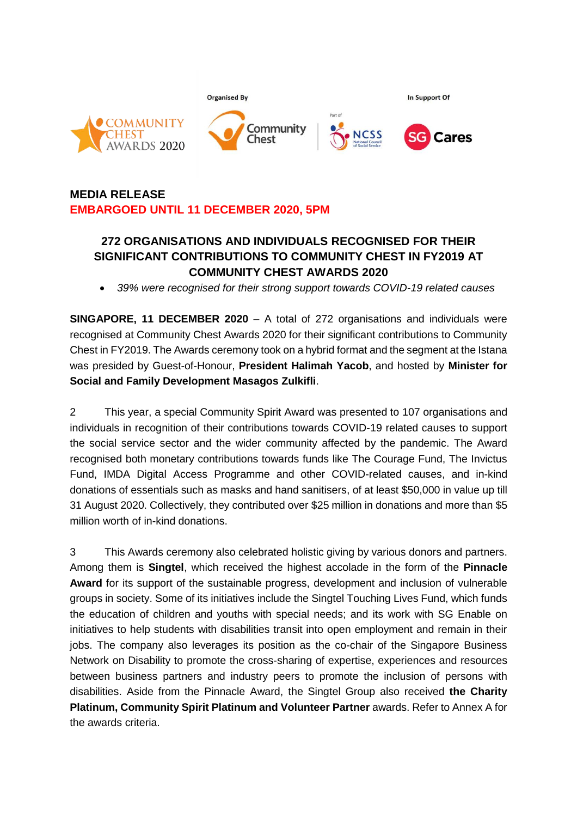

# **MEDIA RELEASE EMBARGOED UNTIL 11 DECEMBER 2020, 5PM**

## **272 ORGANISATIONS AND INDIVIDUALS RECOGNISED FOR THEIR SIGNIFICANT CONTRIBUTIONS TO COMMUNITY CHEST IN FY2019 AT COMMUNITY CHEST AWARDS 2020**

• *39% were recognised for their strong support towards COVID-19 related causes*

**SINGAPORE, 11 DECEMBER 2020** – A total of 272 organisations and individuals were recognised at Community Chest Awards 2020 for their significant contributions to Community Chest in FY2019. The Awards ceremony took on a hybrid format and the segment at the Istana was presided by Guest-of-Honour, **President Halimah Yacob**, and hosted by **Minister for Social and Family Development Masagos Zulkifli**.

2 This year, a special Community Spirit Award was presented to 107 organisations and individuals in recognition of their contributions towards COVID-19 related causes to support the social service sector and the wider community affected by the pandemic. The Award recognised both monetary contributions towards funds like The Courage Fund, The Invictus Fund, IMDA Digital Access Programme and other COVID-related causes, and in-kind donations of essentials such as masks and hand sanitisers, of at least \$50,000 in value up till 31 August 2020. Collectively, they contributed over \$25 million in donations and more than \$5 million worth of in-kind donations.

3 This Awards ceremony also celebrated holistic giving by various donors and partners. Among them is **Singtel**, which received the highest accolade in the form of the **Pinnacle Award** for its support of the sustainable progress, development and inclusion of vulnerable groups in society. Some of its initiatives include the Singtel Touching Lives Fund, which funds the education of children and youths with special needs; and its work with SG Enable on initiatives to help students with disabilities transit into open employment and remain in their jobs. The company also leverages its position as the co-chair of the Singapore Business Network on Disability to promote the cross-sharing of expertise, experiences and resources between business partners and industry peers to promote the inclusion of persons with disabilities. Aside from the Pinnacle Award, the Singtel Group also received **the Charity Platinum, Community Spirit Platinum and Volunteer Partner** awards. Refer to Annex A for the awards criteria.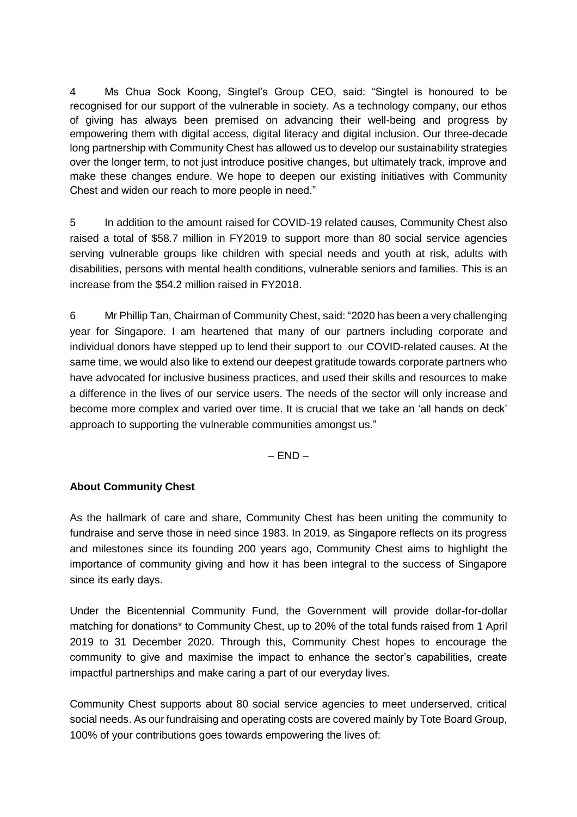4 Ms Chua Sock Koong, Singtel's Group CEO, said: "Singtel is honoured to be recognised for our support of the vulnerable in society. As a technology company, our ethos of giving has always been premised on advancing their well-being and progress by empowering them with digital access, digital literacy and digital inclusion. Our three-decade long partnership with Community Chest has allowed us to develop our sustainability strategies over the longer term, to not just introduce positive changes, but ultimately track, improve and make these changes endure. We hope to deepen our existing initiatives with Community Chest and widen our reach to more people in need."

5 In addition to the amount raised for COVID-19 related causes, Community Chest also raised a total of \$58.7 million in FY2019 to support more than 80 social service agencies serving vulnerable groups like children with special needs and youth at risk, adults with disabilities, persons with mental health conditions, vulnerable seniors and families. This is an increase from the \$54.2 million raised in FY2018.

6 Mr Phillip Tan, Chairman of Community Chest, said: "2020 has been a very challenging year for Singapore. I am heartened that many of our partners including corporate and individual donors have stepped up to lend their support to our COVID-related causes. At the same time, we would also like to extend our deepest gratitude towards corporate partners who have advocated for inclusive business practices, and used their skills and resources to make a difference in the lives of our service users. The needs of the sector will only increase and become more complex and varied over time. It is crucial that we take an 'all hands on deck' approach to supporting the vulnerable communities amongst us."

 $-$  END  $-$ 

### **About Community Chest**

As the hallmark of care and share, Community Chest has been uniting the community to fundraise and serve those in need since 1983. In 2019, as Singapore reflects on its progress and milestones since its founding 200 years ago, Community Chest aims to highlight the importance of community giving and how it has been integral to the success of Singapore since its early days.

Under the Bicentennial Community Fund, the Government will provide dollar-for-dollar matching for donations\* to Community Chest, up to 20% of the total funds raised from 1 April 2019 to 31 December 2020. Through this, Community Chest hopes to encourage the community to give and maximise the impact to enhance the sector's capabilities, create impactful partnerships and make caring a part of our everyday lives.

Community Chest supports about 80 social service agencies to meet underserved, critical social needs. As our fundraising and operating costs are covered mainly by Tote Board Group, 100% of your contributions goes towards empowering the lives of: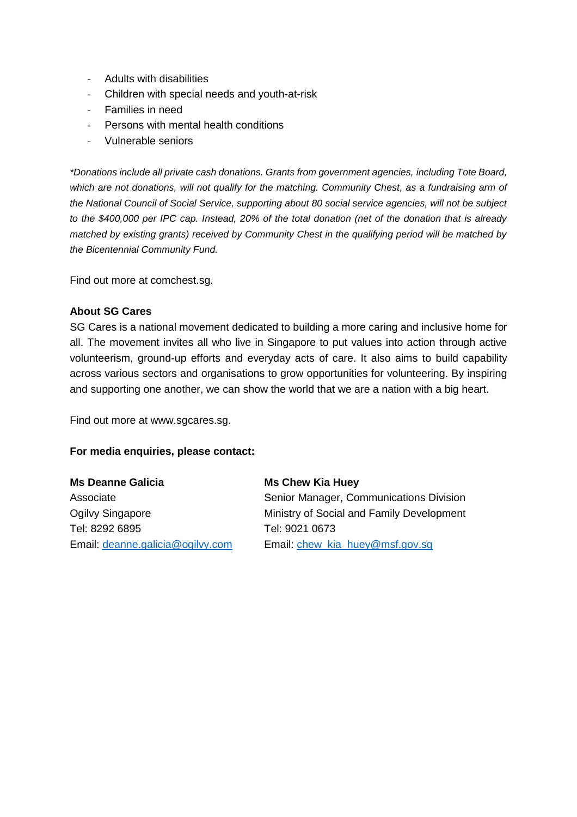- Adults with disabilities
- Children with special needs and youth-at-risk
- Families in need
- Persons with mental health conditions
- Vulnerable seniors

*\*Donations include all private cash donations. Grants from government agencies, including Tote Board, which are not donations, will not qualify for the matching. Community Chest, as a fundraising arm of the National Council of Social Service, supporting about 80 social service agencies, will not be subject to the \$400,000 per IPC cap. Instead, 20% of the total donation (net of the donation that is already matched by existing grants) received by Community Chest in the qualifying period will be matched by the Bicentennial Community Fund.*

Find out more at comchest.sg.

#### **About SG Cares**

SG Cares is a national movement dedicated to building a more caring and inclusive home for all. The movement invites all who live in Singapore to put values into action through active volunteerism, ground-up efforts and everyday acts of care. It also aims to build capability across various sectors and organisations to grow opportunities for volunteering. By inspiring and supporting one another, we can show the world that we are a nation with a big heart.

Find out more at www.sgcares.sg.

#### **For media enquiries, please contact:**

**Ms Deanne Galicia** Associate Ogilvy Singapore Tel: 8292 6895 Email: [deanne.galicia@ogilvy.com](mailto:deanne.galicia@ogilvy.com)

#### **Ms Chew Kia Huey**

Senior Manager, Communications Division Ministry of Social and Family Development Tel: 9021 0673 Email: [chew\\_kia\\_huey@msf.gov.sg](mailto:chew_kia_huey@msf.gov.sg)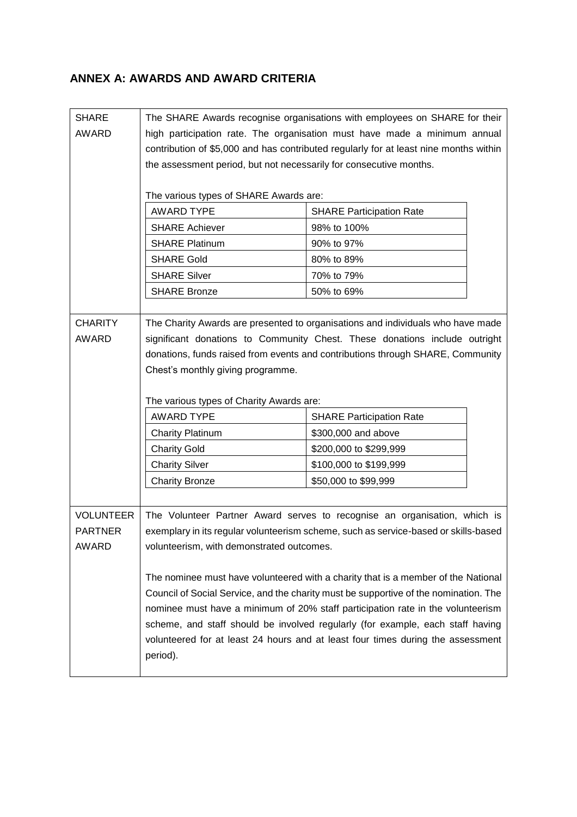### **ANNEX A: AWARDS AND AWARD CRITERIA**

| <b>SHARE</b>     | The SHARE Awards recognise organisations with employees on SHARE for their                                                                                                                                                                                |                                 |  |  |
|------------------|-----------------------------------------------------------------------------------------------------------------------------------------------------------------------------------------------------------------------------------------------------------|---------------------------------|--|--|
| <b>AWARD</b>     | high participation rate. The organisation must have made a minimum annual                                                                                                                                                                                 |                                 |  |  |
|                  | contribution of \$5,000 and has contributed regularly for at least nine months within                                                                                                                                                                     |                                 |  |  |
|                  | the assessment period, but not necessarily for consecutive months.                                                                                                                                                                                        |                                 |  |  |
|                  |                                                                                                                                                                                                                                                           |                                 |  |  |
|                  | The various types of SHARE Awards are:                                                                                                                                                                                                                    |                                 |  |  |
|                  | <b>AWARD TYPE</b>                                                                                                                                                                                                                                         | <b>SHARE Participation Rate</b> |  |  |
|                  | <b>SHARE Achiever</b>                                                                                                                                                                                                                                     | 98% to 100%                     |  |  |
|                  | <b>SHARE Platinum</b>                                                                                                                                                                                                                                     | 90% to 97%                      |  |  |
|                  | <b>SHARE Gold</b>                                                                                                                                                                                                                                         | 80% to 89%                      |  |  |
|                  | <b>SHARE Silver</b>                                                                                                                                                                                                                                       | 70% to 79%                      |  |  |
|                  | <b>SHARE Bronze</b>                                                                                                                                                                                                                                       | 50% to 69%                      |  |  |
|                  |                                                                                                                                                                                                                                                           |                                 |  |  |
| <b>CHARITY</b>   | The Charity Awards are presented to organisations and individuals who have made                                                                                                                                                                           |                                 |  |  |
| <b>AWARD</b>     | significant donations to Community Chest. These donations include outright                                                                                                                                                                                |                                 |  |  |
|                  | donations, funds raised from events and contributions through SHARE, Community<br>Chest's monthly giving programme.                                                                                                                                       |                                 |  |  |
|                  |                                                                                                                                                                                                                                                           |                                 |  |  |
|                  |                                                                                                                                                                                                                                                           |                                 |  |  |
|                  | The various types of Charity Awards are:                                                                                                                                                                                                                  |                                 |  |  |
|                  | <b>AWARD TYPE</b>                                                                                                                                                                                                                                         | <b>SHARE Participation Rate</b> |  |  |
|                  | <b>Charity Platinum</b>                                                                                                                                                                                                                                   | \$300,000 and above             |  |  |
|                  | <b>Charity Gold</b>                                                                                                                                                                                                                                       | \$200,000 to \$299,999          |  |  |
|                  | <b>Charity Silver</b>                                                                                                                                                                                                                                     | \$100,000 to \$199,999          |  |  |
|                  | <b>Charity Bronze</b>                                                                                                                                                                                                                                     | \$50,000 to \$99,999            |  |  |
|                  |                                                                                                                                                                                                                                                           |                                 |  |  |
| <b>VOLUNTEER</b> | The Volunteer Partner Award serves to recognise an organisation, which is                                                                                                                                                                                 |                                 |  |  |
| <b>PARTNER</b>   | exemplary in its regular volunteerism scheme, such as service-based or skills-based                                                                                                                                                                       |                                 |  |  |
| <b>AWARD</b>     | volunteerism, with demonstrated outcomes.                                                                                                                                                                                                                 |                                 |  |  |
|                  |                                                                                                                                                                                                                                                           |                                 |  |  |
|                  | The nominee must have volunteered with a charity that is a member of the National                                                                                                                                                                         |                                 |  |  |
|                  |                                                                                                                                                                                                                                                           |                                 |  |  |
|                  |                                                                                                                                                                                                                                                           |                                 |  |  |
|                  |                                                                                                                                                                                                                                                           |                                 |  |  |
|                  | volunteered for at least 24 hours and at least four times during the assessment                                                                                                                                                                           |                                 |  |  |
|                  |                                                                                                                                                                                                                                                           |                                 |  |  |
|                  | Council of Social Service, and the charity must be supportive of the nomination. The<br>nominee must have a minimum of 20% staff participation rate in the volunteerism<br>scheme, and staff should be involved regularly (for example, each staff having |                                 |  |  |
|                  | period).                                                                                                                                                                                                                                                  |                                 |  |  |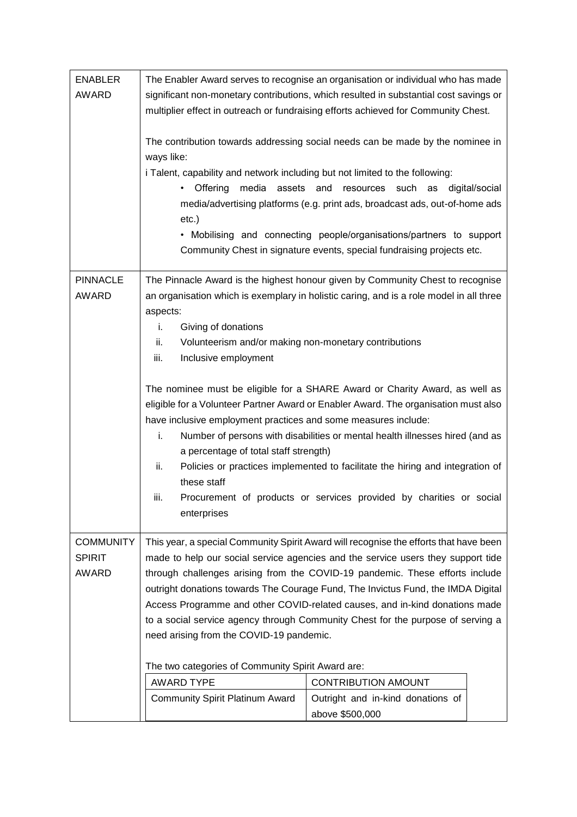| <b>ENABLER</b>                  | The Enabler Award serves to recognise an organisation or individual who has made                                                                                                                                                                                                     |                                                                                                                                                                                                                                                                  |                |  |
|---------------------------------|--------------------------------------------------------------------------------------------------------------------------------------------------------------------------------------------------------------------------------------------------------------------------------------|------------------------------------------------------------------------------------------------------------------------------------------------------------------------------------------------------------------------------------------------------------------|----------------|--|
| <b>AWARD</b>                    |                                                                                                                                                                                                                                                                                      | significant non-monetary contributions, which resulted in substantial cost savings or                                                                                                                                                                            |                |  |
|                                 |                                                                                                                                                                                                                                                                                      | multiplier effect in outreach or fundraising efforts achieved for Community Chest.                                                                                                                                                                               |                |  |
|                                 | ways like:<br>i Talent, capability and network including but not limited to the following:<br>Offering<br>media<br>assets and<br>$etc.$ )                                                                                                                                            | The contribution towards addressing social needs can be made by the nominee in<br>resources<br>such<br>as<br>media/advertising platforms (e.g. print ads, broadcast ads, out-of-home ads<br>• Mobilising and connecting people/organisations/partners to support | digital/social |  |
|                                 |                                                                                                                                                                                                                                                                                      | Community Chest in signature events, special fundraising projects etc.                                                                                                                                                                                           |                |  |
|                                 |                                                                                                                                                                                                                                                                                      |                                                                                                                                                                                                                                                                  |                |  |
| <b>PINNACLE</b><br><b>AWARD</b> |                                                                                                                                                                                                                                                                                      | The Pinnacle Award is the highest honour given by Community Chest to recognise<br>an organisation which is exemplary in holistic caring, and is a role model in all three                                                                                        |                |  |
|                                 | aspects:                                                                                                                                                                                                                                                                             |                                                                                                                                                                                                                                                                  |                |  |
|                                 | i.<br>Giving of donations                                                                                                                                                                                                                                                            |                                                                                                                                                                                                                                                                  |                |  |
|                                 | ii.<br>Volunteerism and/or making non-monetary contributions                                                                                                                                                                                                                         |                                                                                                                                                                                                                                                                  |                |  |
|                                 | Inclusive employment<br>iii.                                                                                                                                                                                                                                                         |                                                                                                                                                                                                                                                                  |                |  |
|                                 |                                                                                                                                                                                                                                                                                      | The nominee must be eligible for a SHARE Award or Charity Award, as well as                                                                                                                                                                                      |                |  |
|                                 | eligible for a Volunteer Partner Award or Enabler Award. The organisation must also<br>have inclusive employment practices and some measures include:<br>i.<br>Number of persons with disabilities or mental health illnesses hired (and as<br>a percentage of total staff strength) |                                                                                                                                                                                                                                                                  |                |  |
|                                 |                                                                                                                                                                                                                                                                                      |                                                                                                                                                                                                                                                                  |                |  |
|                                 |                                                                                                                                                                                                                                                                                      |                                                                                                                                                                                                                                                                  |                |  |
|                                 | ii.<br>these staff                                                                                                                                                                                                                                                                   | Policies or practices implemented to facilitate the hiring and integration of                                                                                                                                                                                    |                |  |
|                                 | iii.                                                                                                                                                                                                                                                                                 | Procurement of products or services provided by charities or social                                                                                                                                                                                              |                |  |
|                                 | enterprises                                                                                                                                                                                                                                                                          |                                                                                                                                                                                                                                                                  |                |  |
|                                 |                                                                                                                                                                                                                                                                                      |                                                                                                                                                                                                                                                                  |                |  |
| <b>COMMUNITY</b>                | This year, a special Community Spirit Award will recognise the efforts that have been                                                                                                                                                                                                |                                                                                                                                                                                                                                                                  |                |  |
| <b>SPIRIT</b>                   | made to help our social service agencies and the service users they support tide                                                                                                                                                                                                     |                                                                                                                                                                                                                                                                  |                |  |
| AWARD                           | through challenges arising from the COVID-19 pandemic. These efforts include<br>outright donations towards The Courage Fund, The Invictus Fund, the IMDA Digital<br>Access Programme and other COVID-related causes, and in-kind donations made                                      |                                                                                                                                                                                                                                                                  |                |  |
|                                 |                                                                                                                                                                                                                                                                                      |                                                                                                                                                                                                                                                                  |                |  |
|                                 | to a social service agency through Community Chest for the purpose of serving a                                                                                                                                                                                                      |                                                                                                                                                                                                                                                                  |                |  |
|                                 | need arising from the COVID-19 pandemic.                                                                                                                                                                                                                                             |                                                                                                                                                                                                                                                                  |                |  |
|                                 | The two categories of Community Spirit Award are:                                                                                                                                                                                                                                    |                                                                                                                                                                                                                                                                  |                |  |
|                                 | <b>AWARD TYPE</b>                                                                                                                                                                                                                                                                    | <b>CONTRIBUTION AMOUNT</b>                                                                                                                                                                                                                                       |                |  |
|                                 | <b>Community Spirit Platinum Award</b>                                                                                                                                                                                                                                               | Outright and in-kind donations of<br>above \$500,000                                                                                                                                                                                                             |                |  |